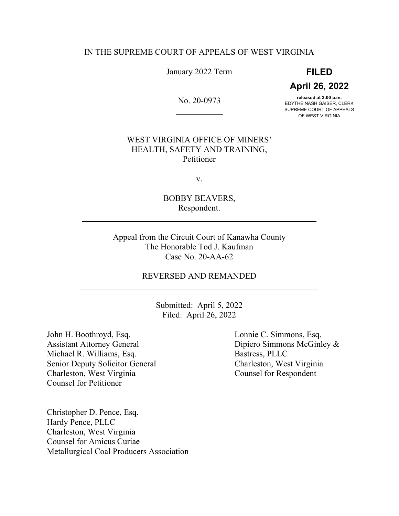### IN THE SUPREME COURT OF APPEALS OF WEST VIRGINIA

January 2022 Term

l

 $\overline{a}$ 

**FILED April 26, 2022**

No. 20-0973

**released at 3:00 p.m.** EDYTHE NASH GAISER, CLERK SUPREME COURT OF APPEALS OF WEST VIRGINIA

# WEST VIRGINIA OFFICE OF MINERS' HEALTH, SAFETY AND TRAINING, Petitioner

v.

BOBBY BEAVERS, Respondent.

Appeal from the Circuit Court of Kanawha County The Honorable Tod J. Kaufman Case No. 20-AA-62

# REVERSED AND REMANDED

Submitted: April 5, 2022 Filed: April 26, 2022

John H. Boothroyd, Esq. Lonnie C. Simmons, Esq. Assistant Attorney General Dipiero Simmons McGinley & Michael R. Williams, Esq. Bastress, PLLC Senior Deputy Solicitor General Charleston, West Virginia Charleston, West Virginia Counsel for Respondent Counsel for Petitioner

l

Christopher D. Pence, Esq. Hardy Pence, PLLC Charleston, West Virginia Counsel for Amicus Curiae Metallurgical Coal Producers Association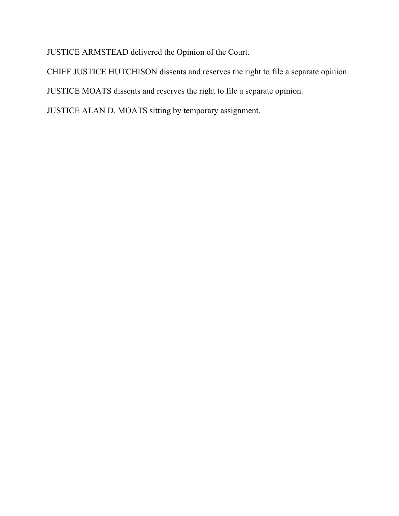JUSTICE ARMSTEAD delivered the Opinion of the Court.

CHIEF JUSTICE HUTCHISON dissents and reserves the right to file a separate opinion.

JUSTICE MOATS dissents and reserves the right to file a separate opinion.

JUSTICE ALAN D. MOATS sitting by temporary assignment.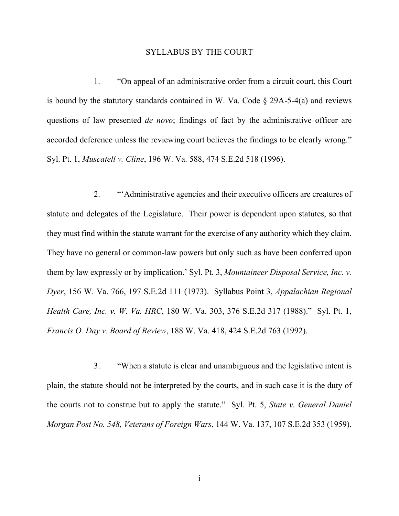#### SYLLABUS BY THE COURT

1. "On appeal of an administrative order from a circuit court, this Court is bound by the statutory standards contained in W. Va. Code  $\S$  29A-5-4(a) and reviews questions of law presented *de novo*; findings of fact by the administrative officer are accorded deference unless the reviewing court believes the findings to be clearly wrong." Syl. Pt. 1, *Muscatell v. Cline*, 196 W. Va. 588, 474 S.E.2d 518 (1996).

2. "'Administrative agencies and their executive officers are creatures of statute and delegates of the Legislature. Their power is dependent upon statutes, so that they must find within the statute warrant for the exercise of any authority which they claim. They have no general or common-law powers but only such as have been conferred upon them by law expressly or by implication.' Syl. Pt. 3, *Mountaineer Disposal Service, Inc. v. Dyer*, 156 W. Va. 766, 197 S.E.2d 111 (1973). Syllabus Point 3, *Appalachian Regional Health Care, Inc. v. W. Va. HRC*, 180 W. Va. 303, 376 S.E.2d 317 (1988)." Syl. Pt. 1, *Francis O. Day v. Board of Review*, 188 W. Va. 418, 424 S.E.2d 763 (1992).

3. "When a statute is clear and unambiguous and the legislative intent is plain, the statute should not be interpreted by the courts, and in such case it is the duty of the courts not to construe but to apply the statute." Syl. Pt. 5, *State v. General Daniel Morgan Post No. 548, Veterans of Foreign Wars*, 144 W. Va. 137, 107 S.E.2d 353 (1959).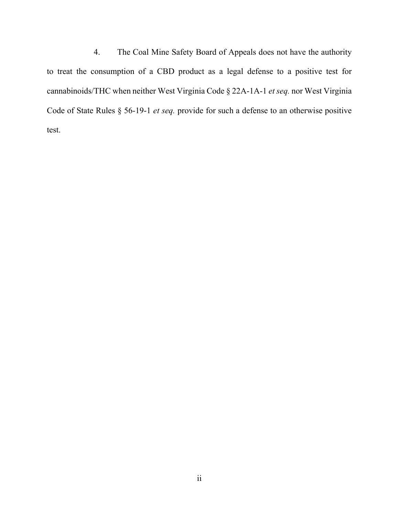4. The Coal Mine Safety Board of Appeals does not have the authority to treat the consumption of a CBD product as a legal defense to a positive test for cannabinoids/THC when neither West Virginia Code § 22A-1A-1 *et seq.* nor West Virginia Code of State Rules § 56-19-1 *et seq.* provide for such a defense to an otherwise positive test.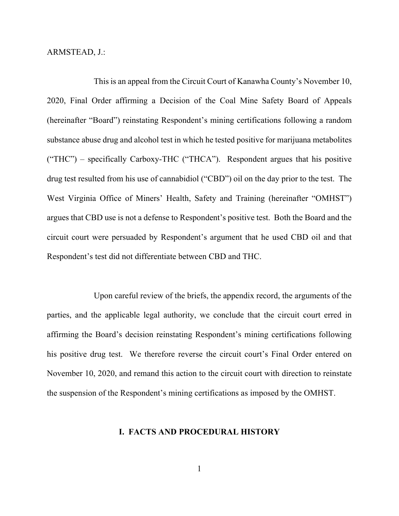ARMSTEAD, J.:

This is an appeal from the Circuit Court of Kanawha County's November 10, 2020, Final Order affirming a Decision of the Coal Mine Safety Board of Appeals (hereinafter "Board") reinstating Respondent's mining certifications following a random substance abuse drug and alcohol test in which he tested positive for marijuana metabolites ("THC") – specifically Carboxy-THC ("THCA"). Respondent argues that his positive drug test resulted from his use of cannabidiol ("CBD") oil on the day prior to the test. The West Virginia Office of Miners' Health, Safety and Training (hereinafter "OMHST") argues that CBD use is not a defense to Respondent's positive test. Both the Board and the circuit court were persuaded by Respondent's argument that he used CBD oil and that Respondent's test did not differentiate between CBD and THC.

Upon careful review of the briefs, the appendix record, the arguments of the parties, and the applicable legal authority, we conclude that the circuit court erred in affirming the Board's decision reinstating Respondent's mining certifications following his positive drug test. We therefore reverse the circuit court's Final Order entered on November 10, 2020, and remand this action to the circuit court with direction to reinstate the suspension of the Respondent's mining certifications as imposed by the OMHST.

### **I. FACTS AND PROCEDURAL HISTORY**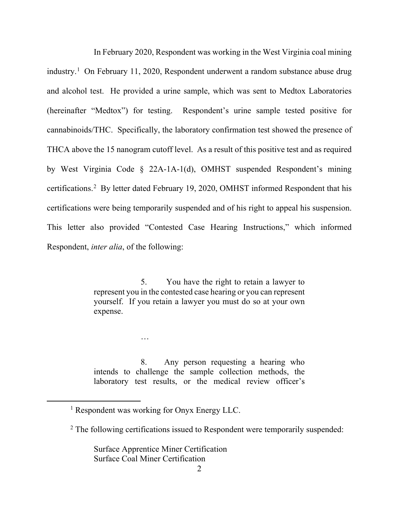In February 2020, Respondent was working in the West Virginia coal mining industry.<sup>[1](#page-5-0)</sup> On February 11, 2020, Respondent underwent a random substance abuse drug and alcohol test. He provided a urine sample, which was sent to Medtox Laboratories (hereinafter "Medtox") for testing. Respondent's urine sample tested positive for cannabinoids/THC. Specifically, the laboratory confirmation test showed the presence of THCA above the 15 nanogram cutoff level. As a result of this positive test and as required by West Virginia Code § 22A-1A-1(d), OMHST suspended Respondent's mining certifications.<sup>[2](#page-5-1)</sup> By letter dated February 19, 2020, OMHST informed Respondent that his certifications were being temporarily suspended and of his right to appeal his suspension. This letter also provided "Contested Case Hearing Instructions," which informed Respondent, *inter alia*, of the following:

> 5. You have the right to retain a lawyer to represent you in the contested case hearing or you can represent yourself. If you retain a lawyer you must do so at your own expense.

> 8. Any person requesting a hearing who intends to challenge the sample collection methods, the laboratory test results, or the medical review officer's

…

Surface Apprentice Miner Certification Surface Coal Miner Certification

<span id="page-5-0"></span><sup>&</sup>lt;sup>1</sup> Respondent was working for Onyx Energy LLC.

<span id="page-5-1"></span> $2$  The following certifications issued to Respondent were temporarily suspended: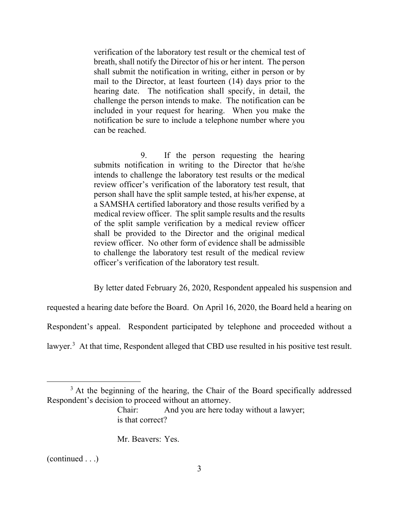verification of the laboratory test result or the chemical test of breath, shall notify the Director of his or her intent. The person shall submit the notification in writing, either in person or by mail to the Director, at least fourteen (14) days prior to the hearing date. The notification shall specify, in detail, the challenge the person intends to make. The notification can be included in your request for hearing. When you make the notification be sure to include a telephone number where you can be reached.

9. If the person requesting the hearing submits notification in writing to the Director that he/she intends to challenge the laboratory test results or the medical review officer's verification of the laboratory test result, that person shall have the split sample tested, at his/her expense, at a SAMSHA certified laboratory and those results verified by a medical review officer. The split sample results and the results of the split sample verification by a medical review officer shall be provided to the Director and the original medical review officer. No other form of evidence shall be admissible to challenge the laboratory test result of the medical review officer's verification of the laboratory test result.

By letter dated February 26, 2020, Respondent appealed his suspension and

requested a hearing date before the Board. On April 16, 2020, the Board held a hearing on

Respondent's appeal. Respondent participated by telephone and proceeded without a

lawyer.<sup>[3](#page-6-0)</sup> At that time, Respondent alleged that CBD use resulted in his positive test result.

Mr. Beavers: Yes.

(continued . . .)

<span id="page-6-0"></span> $3$  At the beginning of the hearing, the Chair of the Board specifically addressed Respondent's decision to proceed without an attorney.

Chair: And you are here today without a lawyer; is that correct?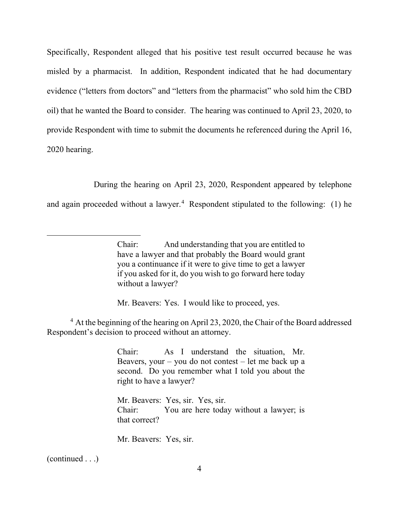Specifically, Respondent alleged that his positive test result occurred because he was misled by a pharmacist. In addition, Respondent indicated that he had documentary evidence ("letters from doctors" and "letters from the pharmacist" who sold him the CBD oil) that he wanted the Board to consider. The hearing was continued to April 23, 2020, to provide Respondent with time to submit the documents he referenced during the April 16, 2020 hearing.

During the hearing on April 23, 2020, Respondent appeared by telephone

and again proceeded without a lawyer.<sup>[4](#page-7-0)</sup> Respondent stipulated to the following:  $(1)$  he

Mr. Beavers: Yes. I would like to proceed, yes.

<span id="page-7-0"></span><sup>4</sup> At the beginning of the hearing on April 23, 2020, the Chair of the Board addressed Respondent's decision to proceed without an attorney.

> Chair: As I understand the situation, Mr. Beavers, your  $-$  you do not contest  $-$  let me back up a second. Do you remember what I told you about the right to have a lawyer?

> Mr. Beavers: Yes, sir. Yes, sir. Chair: You are here today without a lawyer; is that correct?

Mr. Beavers: Yes, sir.

(continued . . .)

Chair: And understanding that you are entitled to have a lawyer and that probably the Board would grant you a continuance if it were to give time to get a lawyer if you asked for it, do you wish to go forward here today without a lawyer?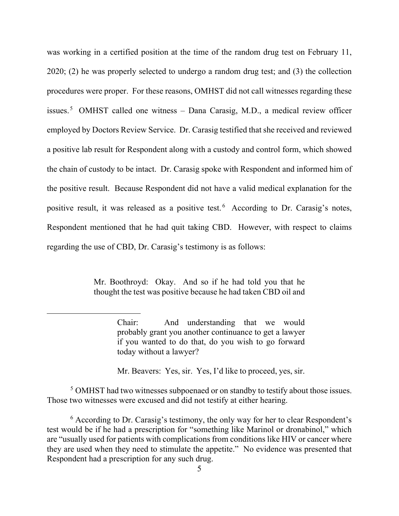was working in a certified position at the time of the random drug test on February 11, 2020; (2) he was properly selected to undergo a random drug test; and (3) the collection procedures were proper. For these reasons, OMHST did not call witnesses regarding these issues.<sup>[5](#page-8-0)</sup> OMHST called one witness – Dana Carasig, M.D., a medical review officer employed by Doctors Review Service. Dr. Carasig testified that she received and reviewed a positive lab result for Respondent along with a custody and control form, which showed the chain of custody to be intact. Dr. Carasig spoke with Respondent and informed him of the positive result. Because Respondent did not have a valid medical explanation for the positive result, it was released as a positive test. [6](#page-8-1) According to Dr. Carasig's notes, Respondent mentioned that he had quit taking CBD. However, with respect to claims regarding the use of CBD, Dr. Carasig's testimony is as follows:

> Mr. Boothroyd: Okay. And so if he had told you that he thought the test was positive because he had taken CBD oil and

Mr. Beavers: Yes, sir. Yes, I'd like to proceed, yes, sir.

<span id="page-8-0"></span><sup>5</sup> OMHST had two witnesses subpoenaed or on standby to testify about those issues. Those two witnesses were excused and did not testify at either hearing.

<span id="page-8-1"></span> $6$  According to Dr. Carasig's testimony, the only way for her to clear Respondent's test would be if he had a prescription for "something like Marinol or dronabinol," which are "usually used for patients with complications from conditions like HIV or cancer where they are used when they need to stimulate the appetite." No evidence was presented that Respondent had a prescription for any such drug.

Chair: And understanding that we would probably grant you another continuance to get a lawyer if you wanted to do that, do you wish to go forward today without a lawyer?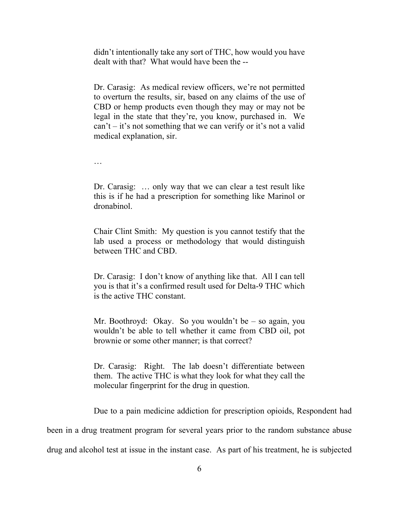didn't intentionally take any sort of THC, how would you have dealt with that? What would have been the --

Dr. Carasig: As medical review officers, we're not permitted to overturn the results, sir, based on any claims of the use of CBD or hemp products even though they may or may not be legal in the state that they're, you know, purchased in. We  $can't - it's not something that we can verify or it's not a valid$ medical explanation, sir.

…

Dr. Carasig: … only way that we can clear a test result like this is if he had a prescription for something like Marinol or dronabinol.

Chair Clint Smith: My question is you cannot testify that the lab used a process or methodology that would distinguish between THC and CBD.

Dr. Carasig: I don't know of anything like that. All I can tell you is that it's a confirmed result used for Delta-9 THC which is the active THC constant.

Mr. Boothroyd: Okay. So you wouldn't be – so again, you wouldn't be able to tell whether it came from CBD oil, pot brownie or some other manner; is that correct?

Dr. Carasig: Right. The lab doesn't differentiate between them. The active THC is what they look for what they call the molecular fingerprint for the drug in question.

Due to a pain medicine addiction for prescription opioids, Respondent had

been in a drug treatment program for several years prior to the random substance abuse drug and alcohol test at issue in the instant case. As part of his treatment, he is subjected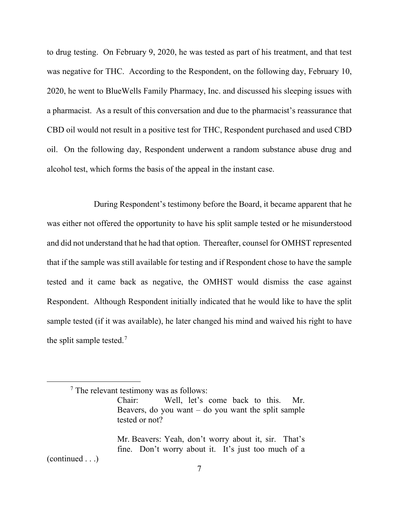to drug testing. On February 9, 2020, he was tested as part of his treatment, and that test was negative for THC. According to the Respondent, on the following day, February 10, 2020, he went to BlueWells Family Pharmacy, Inc. and discussed his sleeping issues with a pharmacist. As a result of this conversation and due to the pharmacist's reassurance that CBD oil would not result in a positive test for THC, Respondent purchased and used CBD oil. On the following day, Respondent underwent a random substance abuse drug and alcohol test, which forms the basis of the appeal in the instant case.

During Respondent's testimony before the Board, it became apparent that he was either not offered the opportunity to have his split sample tested or he misunderstood and did not understand that he had that option. Thereafter, counsel for OMHST represented that if the sample was still available for testing and if Respondent chose to have the sample tested and it came back as negative, the OMHST would dismiss the case against Respondent. Although Respondent initially indicated that he would like to have the split sample tested (if it was available), he later changed his mind and waived his right to have the split sample tested.<sup>[7](#page-10-0)</sup>

<span id="page-10-0"></span>Mr. Beavers: Yeah, don't worry about it, sir. That's fine. Don't worry about it. It's just too much of a (continued . . .)

7

<sup>7</sup> The relevant testimony was as follows:

Chair: Well, let's come back to this. Mr. Beavers, do you want  $-$  do you want the split sample tested or not?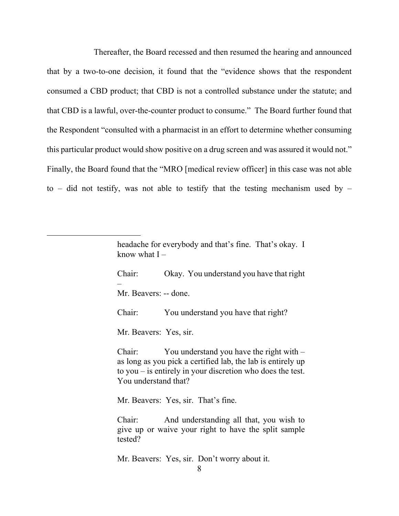Thereafter, the Board recessed and then resumed the hearing and announced that by a two-to-one decision, it found that the "evidence shows that the respondent consumed a CBD product; that CBD is not a controlled substance under the statute; and that CBD is a lawful, over-the-counter product to consume." The Board further found that the Respondent "consulted with a pharmacist in an effort to determine whether consuming this particular product would show positive on a drug screen and was assured it would not." Finally, the Board found that the "MRO [medical review officer] in this case was not able to – did not testify, was not able to testify that the testing mechanism used by –

> headache for everybody and that's fine. That's okay. I know what  $I -$

> Chair: Okay. You understand you have that right – Mr. Beavers: -- done.

Chair: You understand you have that right?

Mr. Beavers: Yes, sir.

Chair: You understand you have the right with – as long as you pick a certified lab, the lab is entirely up to you – is entirely in your discretion who does the test. You understand that?

Mr. Beavers: Yes, sir. That's fine.

Chair: And understanding all that, you wish to give up or waive your right to have the split sample tested?

Mr. Beavers: Yes, sir. Don't worry about it.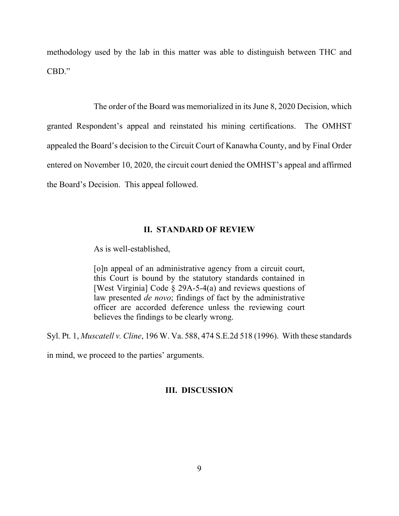methodology used by the lab in this matter was able to distinguish between THC and CBD."

The order of the Board was memorialized in its June 8, 2020 Decision, which granted Respondent's appeal and reinstated his mining certifications. The OMHST appealed the Board's decision to the Circuit Court of Kanawha County, and by Final Order entered on November 10, 2020, the circuit court denied the OMHST's appeal and affirmed the Board's Decision. This appeal followed.

#### **II. STANDARD OF REVIEW**

As is well-established,

[o]n appeal of an administrative agency from a circuit court, this Court is bound by the statutory standards contained in [West Virginia] Code § 29A-5-4(a) and reviews questions of law presented *de novo*; findings of fact by the administrative officer are accorded deference unless the reviewing court believes the findings to be clearly wrong.

Syl. Pt. 1, *Muscatell v. Cline*, 196 W. Va. 588, 474 S.E.2d 518 (1996). With these standards

in mind, we proceed to the parties' arguments.

### **III. DISCUSSION**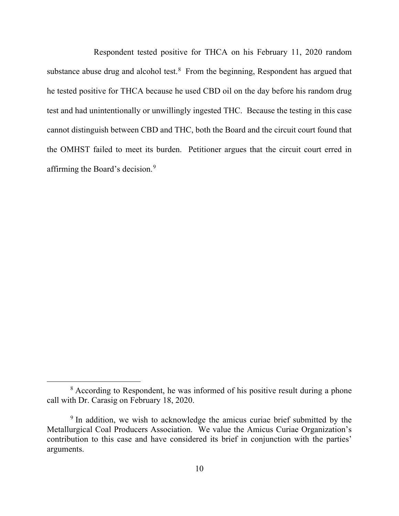Respondent tested positive for THCA on his February 11, 2020 random substance abuse drug and alcohol test. $8$  From the beginning, Respondent has argued that he tested positive for THCA because he used CBD oil on the day before his random drug test and had unintentionally or unwillingly ingested THC. Because the testing in this case cannot distinguish between CBD and THC, both the Board and the circuit court found that the OMHST failed to meet its burden. Petitioner argues that the circuit court erred in affirming the Board's decision.<sup>[9](#page-13-1)</sup>

<span id="page-13-0"></span><sup>&</sup>lt;sup>8</sup> According to Respondent, he was informed of his positive result during a phone call with Dr. Carasig on February 18, 2020.

<span id="page-13-1"></span><sup>&</sup>lt;sup>9</sup> In addition, we wish to acknowledge the amicus curiae brief submitted by the Metallurgical Coal Producers Association. We value the Amicus Curiae Organization's contribution to this case and have considered its brief in conjunction with the parties' arguments.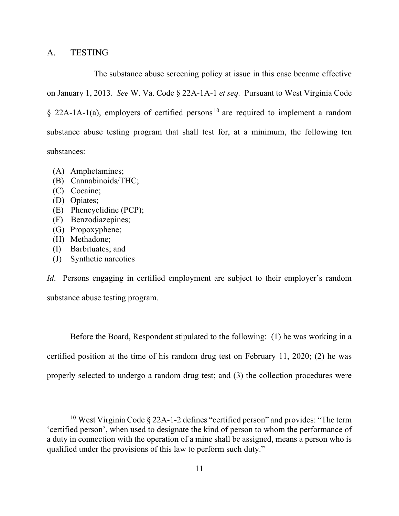# A. TESTING

The substance abuse screening policy at issue in this case became effective on January 1, 2013. *See* W. Va. Code § 22A-1A-1 *et seq.* Pursuant to West Virginia Code  $§$  22A-1A-1(a), employers of certified persons<sup>[10](#page-14-0)</sup> are required to implement a random substance abuse testing program that shall test for, at a minimum, the following ten substances:

- (A) Amphetamines;
- (B) Cannabinoids/THC;
- (C) Cocaine;
- (D) Opiates;
- (E) Phencyclidine (PCP);
- (F) Benzodiazepines;
- (G) Propoxyphene;
- (H) Methadone;
- (I) Barbituates; and
- (J) Synthetic narcotics

*Id*. Persons engaging in certified employment are subject to their employer's random substance abuse testing program.

Before the Board, Respondent stipulated to the following: (1) he was working in a certified position at the time of his random drug test on February 11, 2020; (2) he was properly selected to undergo a random drug test; and (3) the collection procedures were

<span id="page-14-0"></span><sup>&</sup>lt;sup>10</sup> West Virginia Code  $\S$  22A-1-2 defines "certified person" and provides: "The term 'certified person', when used to designate the kind of person to whom the performance of a duty in connection with the operation of a mine shall be assigned, means a person who is qualified under the provisions of this law to perform such duty."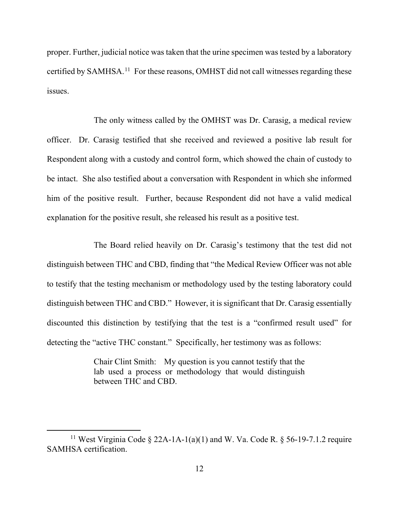proper. Further, judicial notice was taken that the urine specimen was tested by a laboratory certified by SAMHSA.<sup>[11](#page-15-0)</sup> For these reasons, OMHST did not call witnesses regarding these issues.

The only witness called by the OMHST was Dr. Carasig, a medical review officer. Dr. Carasig testified that she received and reviewed a positive lab result for Respondent along with a custody and control form, which showed the chain of custody to be intact. She also testified about a conversation with Respondent in which she informed him of the positive result. Further, because Respondent did not have a valid medical explanation for the positive result, she released his result as a positive test.

The Board relied heavily on Dr. Carasig's testimony that the test did not distinguish between THC and CBD, finding that "the Medical Review Officer was not able to testify that the testing mechanism or methodology used by the testing laboratory could distinguish between THC and CBD." However, it is significant that Dr. Carasig essentially discounted this distinction by testifying that the test is a "confirmed result used" for detecting the "active THC constant." Specifically, her testimony was as follows:

> Chair Clint Smith: My question is you cannot testify that the lab used a process or methodology that would distinguish between THC and CBD.

<span id="page-15-0"></span><sup>&</sup>lt;sup>11</sup> West Virginia Code § 22A-1A-1(a)(1) and W. Va. Code R. § 56-19-7.1.2 require SAMHSA certification.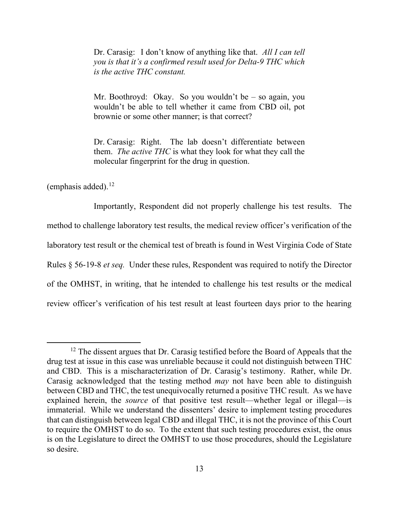Dr. Carasig: I don't know of anything like that. *All I can tell you is that it's a confirmed result used for Delta-9 THC which is the active THC constant.* 

Mr. Boothroyd: Okay. So you wouldn't be – so again, you wouldn't be able to tell whether it came from CBD oil, pot brownie or some other manner; is that correct?

Dr. Carasig: Right. The lab doesn't differentiate between them. *The active THC* is what they look for what they call the molecular fingerprint for the drug in question.

(emphasis added). $^{12}$ 

Importantly, Respondent did not properly challenge his test results. The method to challenge laboratory test results, the medical review officer's verification of the laboratory test result or the chemical test of breath is found in West Virginia Code of State Rules § 56-19-8 *et seq.* Under these rules, Respondent was required to notify the Director of the OMHST, in writing, that he intended to challenge his test results or the medical review officer's verification of his test result at least fourteen days prior to the hearing

<span id="page-16-0"></span> $12$  The dissent argues that Dr. Carasig testified before the Board of Appeals that the drug test at issue in this case was unreliable because it could not distinguish between THC and CBD. This is a mischaracterization of Dr. Carasig's testimony. Rather, while Dr. Carasig acknowledged that the testing method *may* not have been able to distinguish between CBD and THC, the test unequivocally returned a positive THC result. As we have explained herein, the *source* of that positive test result—whether legal or illegal—is immaterial. While we understand the dissenters' desire to implement testing procedures that can distinguish between legal CBD and illegal THC, it is not the province of this Court to require the OMHST to do so. To the extent that such testing procedures exist, the onus is on the Legislature to direct the OMHST to use those procedures, should the Legislature so desire.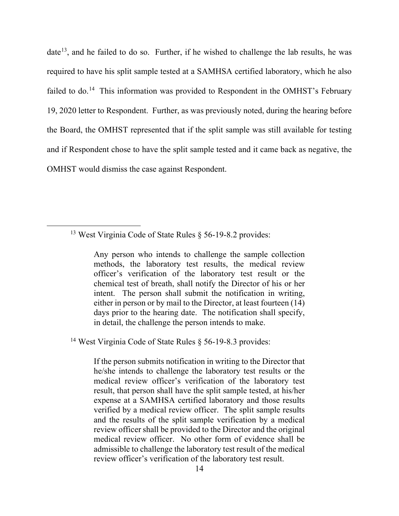date<sup>13</sup>, and he failed to do so. Further, if he wished to challenge the lab results, he was required to have his split sample tested at a SAMHSA certified laboratory, which he also failed to do.<sup>[14](#page-17-1)</sup> This information was provided to Respondent in the OMHST's February 19, 2020 letter to Respondent. Further, as was previously noted, during the hearing before the Board, the OMHST represented that if the split sample was still available for testing and if Respondent chose to have the split sample tested and it came back as negative, the OMHST would dismiss the case against Respondent.

Any person who intends to challenge the sample collection methods, the laboratory test results, the medical review officer's verification of the laboratory test result or the chemical test of breath, shall notify the Director of his or her intent. The person shall submit the notification in writing, either in person or by mail to the Director, at least fourteen (14) days prior to the hearing date. The notification shall specify, in detail, the challenge the person intends to make.

<span id="page-17-1"></span><sup>14</sup> West Virginia Code of State Rules  $\S$  56-19-8.3 provides:

If the person submits notification in writing to the Director that he/she intends to challenge the laboratory test results or the medical review officer's verification of the laboratory test result, that person shall have the split sample tested, at his/her expense at a SAMHSA certified laboratory and those results verified by a medical review officer. The split sample results and the results of the split sample verification by a medical review officer shall be provided to the Director and the original medical review officer. No other form of evidence shall be admissible to challenge the laboratory test result of the medical review officer's verification of the laboratory test result.

<span id="page-17-0"></span><sup>&</sup>lt;sup>13</sup> West Virginia Code of State Rules  $\S$  56-19-8.2 provides: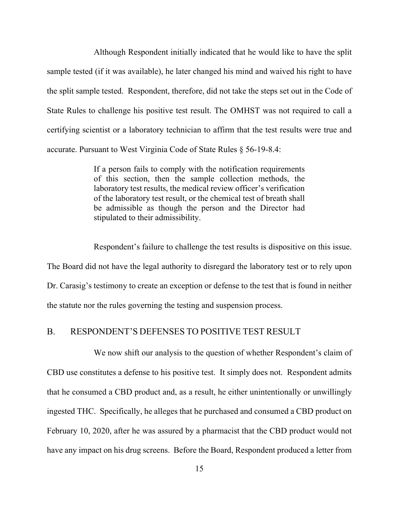Although Respondent initially indicated that he would like to have the split sample tested (if it was available), he later changed his mind and waived his right to have the split sample tested. Respondent, therefore, did not take the steps set out in the Code of State Rules to challenge his positive test result. The OMHST was not required to call a certifying scientist or a laboratory technician to affirm that the test results were true and accurate. Pursuant to West Virginia Code of State Rules § 56-19-8.4:

> If a person fails to comply with the notification requirements of this section, then the sample collection methods, the laboratory test results, the medical review officer's verification of the laboratory test result, or the chemical test of breath shall be admissible as though the person and the Director had stipulated to their admissibility.

Respondent's failure to challenge the test results is dispositive on this issue. The Board did not have the legal authority to disregard the laboratory test or to rely upon Dr. Carasig's testimony to create an exception or defense to the test that is found in neither the statute nor the rules governing the testing and suspension process.

# B. RESPONDENT'S DEFENSES TO POSITIVE TEST RESULT

We now shift our analysis to the question of whether Respondent's claim of CBD use constitutes a defense to his positive test. It simply does not. Respondent admits that he consumed a CBD product and, as a result, he either unintentionally or unwillingly ingested THC. Specifically, he alleges that he purchased and consumed a CBD product on February 10, 2020, after he was assured by a pharmacist that the CBD product would not have any impact on his drug screens. Before the Board, Respondent produced a letter from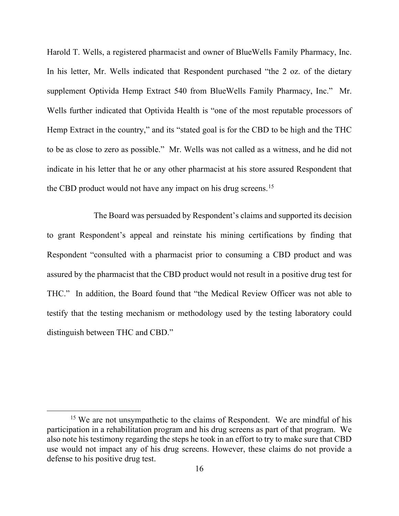Harold T. Wells, a registered pharmacist and owner of BlueWells Family Pharmacy, Inc. In his letter, Mr. Wells indicated that Respondent purchased "the 2 oz. of the dietary supplement Optivida Hemp Extract 540 from BlueWells Family Pharmacy, Inc." Mr. Wells further indicated that Optivida Health is "one of the most reputable processors of Hemp Extract in the country," and its "stated goal is for the CBD to be high and the THC to be as close to zero as possible." Mr. Wells was not called as a witness, and he did not indicate in his letter that he or any other pharmacist at his store assured Respondent that the CBD product would not have any impact on his drug screens.<sup>[15](#page-19-0)</sup>

The Board was persuaded by Respondent's claims and supported its decision to grant Respondent's appeal and reinstate his mining certifications by finding that Respondent "consulted with a pharmacist prior to consuming a CBD product and was assured by the pharmacist that the CBD product would not result in a positive drug test for THC." In addition, the Board found that "the Medical Review Officer was not able to testify that the testing mechanism or methodology used by the testing laboratory could distinguish between THC and CBD."

<span id="page-19-0"></span> $15$  We are not unsympathetic to the claims of Respondent. We are mindful of his participation in a rehabilitation program and his drug screens as part of that program. We also note his testimony regarding the steps he took in an effort to try to make sure that CBD use would not impact any of his drug screens. However, these claims do not provide a defense to his positive drug test.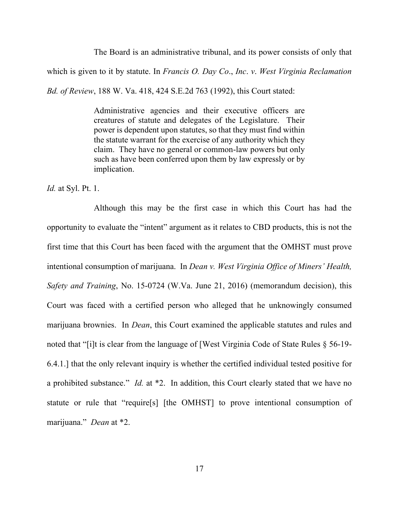The Board is an administrative tribunal, and its power consists of only that which is given to it by statute. In *Francis O. Day Co*., *Inc*. *v*. *West Virginia Reclamation Bd. of Review*, 188 W. Va. 418, 424 S.E.2d 763 (1992), this Court stated:

> Administrative agencies and their executive officers are creatures of statute and delegates of the Legislature. Their power is dependent upon statutes, so that they must find within the statute warrant for the exercise of any authority which they claim. They have no general or common-law powers but only such as have been conferred upon them by law expressly or by implication.

*Id.* at Syl. Pt. 1.

Although this may be the first case in which this Court has had the opportunity to evaluate the "intent" argument as it relates to CBD products, this is not the first time that this Court has been faced with the argument that the OMHST must prove intentional consumption of marijuana. In *Dean v. West Virginia Office of Miners' Health, Safety and Training*, No. 15-0724 (W.Va. June 21, 2016) (memorandum decision), this Court was faced with a certified person who alleged that he unknowingly consumed marijuana brownies. In *Dean*, this Court examined the applicable statutes and rules and noted that "[i]t is clear from the language of [West Virginia Code of State Rules § 56-19- 6.4.1.] that the only relevant inquiry is whether the certified individual tested positive for a prohibited substance." *Id.* at \*2. In addition, this Court clearly stated that we have no statute or rule that "require[s] [the OMHST] to prove intentional consumption of marijuana." *Dean* at \*2.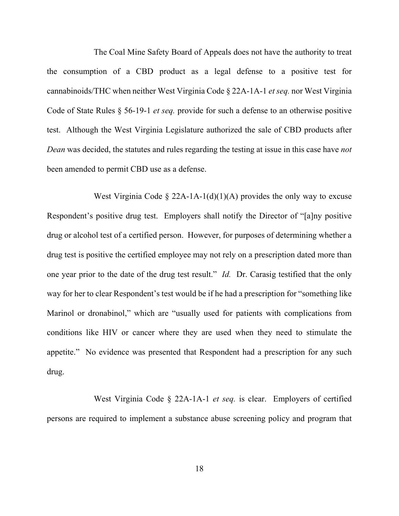The Coal Mine Safety Board of Appeals does not have the authority to treat the consumption of a CBD product as a legal defense to a positive test for cannabinoids/THC when neither West Virginia Code § 22A-1A-1 *et seq.* nor West Virginia Code of State Rules § 56-19-1 *et seq.* provide for such a defense to an otherwise positive test. Although the West Virginia Legislature authorized the sale of CBD products after *Dean* was decided, the statutes and rules regarding the testing at issue in this case have *not* been amended to permit CBD use as a defense.

West Virginia Code  $\S$  22A-1A-1(d)(1)(A) provides the only way to excuse Respondent's positive drug test. Employers shall notify the Director of "[a]ny positive drug or alcohol test of a certified person. However, for purposes of determining whether a drug test is positive the certified employee may not rely on a prescription dated more than one year prior to the date of the drug test result." *Id.* Dr. Carasig testified that the only way for her to clear Respondent's test would be if he had a prescription for "something like Marinol or dronabinol," which are "usually used for patients with complications from conditions like HIV or cancer where they are used when they need to stimulate the appetite." No evidence was presented that Respondent had a prescription for any such drug.

West Virginia Code § 22A-1A-1 *et seq.* is clear. Employers of certified persons are required to implement a substance abuse screening policy and program that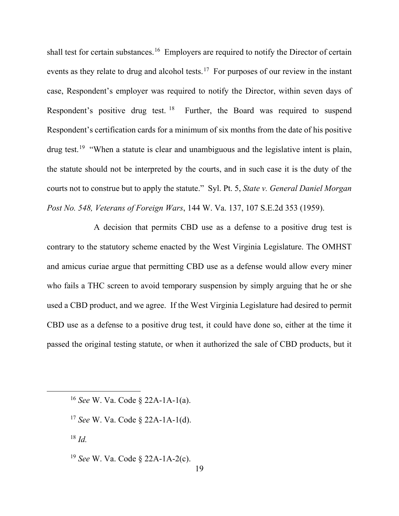shall test for certain substances.<sup>16</sup> Employers are required to notify the Director of certain events as they relate to drug and alcohol tests.<sup>[17](#page-22-1)</sup> For purposes of our review in the instant case, Respondent's employer was required to notify the Director, within seven days of Respondent's positive drug test. [18](#page-22-2) Further, the Board was required to suspend Respondent's certification cards for a minimum of six months from the date of his positive drug test.<sup>[19](#page-22-3)</sup> "When a statute is clear and unambiguous and the legislative intent is plain, the statute should not be interpreted by the courts, and in such case it is the duty of the courts not to construe but to apply the statute." Syl. Pt. 5, *State v. General Daniel Morgan Post No. 548, Veterans of Foreign Wars*, 144 W. Va. 137, 107 S.E.2d 353 (1959).

A decision that permits CBD use as a defense to a positive drug test is contrary to the statutory scheme enacted by the West Virginia Legislature. The OMHST and amicus curiae argue that permitting CBD use as a defense would allow every miner who fails a THC screen to avoid temporary suspension by simply arguing that he or she used a CBD product, and we agree. If the West Virginia Legislature had desired to permit CBD use as a defense to a positive drug test, it could have done so, either at the time it passed the original testing statute, or when it authorized the sale of CBD products, but it

<span id="page-22-1"></span><sup>17</sup> *See* W. Va. Code § 22A-1A-1(d).

<span id="page-22-2"></span> $18$  *Id.* 

<span id="page-22-3"></span><sup>19</sup> *See* W. Va. Code § 22A-1A-2(c).

<span id="page-22-0"></span><sup>16</sup> *See* W. Va. Code § 22A-1A-1(a).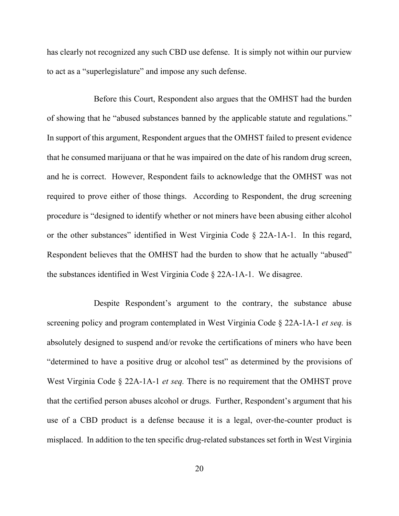has clearly not recognized any such CBD use defense. It is simply not within our purview to act as a "superlegislature" and impose any such defense.

Before this Court, Respondent also argues that the OMHST had the burden of showing that he "abused substances banned by the applicable statute and regulations." In support of this argument, Respondent argues that the OMHST failed to present evidence that he consumed marijuana or that he was impaired on the date of his random drug screen, and he is correct. However, Respondent fails to acknowledge that the OMHST was not required to prove either of those things. According to Respondent, the drug screening procedure is "designed to identify whether or not miners have been abusing either alcohol or the other substances" identified in West Virginia Code § 22A-1A-1. In this regard, Respondent believes that the OMHST had the burden to show that he actually "abused" the substances identified in West Virginia Code § 22A-1A-1. We disagree.

Despite Respondent's argument to the contrary, the substance abuse screening policy and program contemplated in West Virginia Code § 22A-1A-1 *et seq.* is absolutely designed to suspend and/or revoke the certifications of miners who have been "determined to have a positive drug or alcohol test" as determined by the provisions of West Virginia Code § 22A-1A-1 *et seq.* There is no requirement that the OMHST prove that the certified person abuses alcohol or drugs. Further, Respondent's argument that his use of a CBD product is a defense because it is a legal, over-the-counter product is misplaced. In addition to the ten specific drug-related substances set forth in West Virginia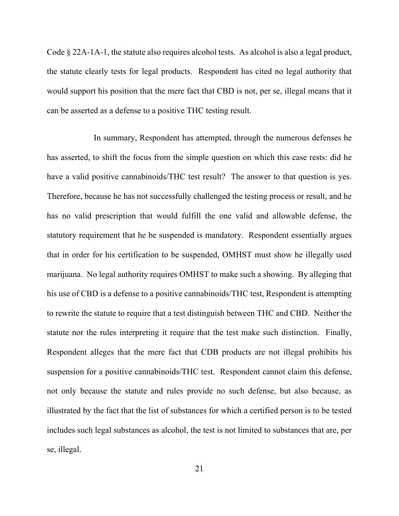Code § 22A-1A-1, the statute also requires alcohol tests. As alcohol is also a legal product, the statute clearly tests for legal products. Respondent has cited no legal authority that would support his position that the mere fact that CBD is not, per se, illegal means that it can be asserted as a defense to a positive THC testing result.

In summary, Respondent has attempted, through the numerous defenses he has asserted, to shift the focus from the simple question on which this case rests: did he have a valid positive cannabinoids/THC test result? The answer to that question is yes. Therefore, because he has not successfully challenged the testing process or result, and he has no valid prescription that would fulfill the one valid and allowable defense, the statutory requirement that he be suspended is mandatory. Respondent essentially argues that in order for his certification to be suspended, OMHST must show he illegally used marijuana. No legal authority requires OMHST to make such a showing. By alleging that his use of CBD is a defense to a positive cannabinoids/THC test, Respondent is attempting to rewrite the statute to require that a test distinguish between THC and CBD. Neither the statute nor the rules interpreting it require that the test make such distinction. Finally, Respondent alleges that the mere fact that CDB products are not illegal prohibits his suspension for a positive cannabinoids/THC test. Respondent cannot claim this defense, not only because the statute and rules provide no such defense, but also because, as illustrated by the fact that the list of substances for which a certified person is to be tested includes such legal substances as alcohol, the test is not limited to substances that are, per se, illegal.